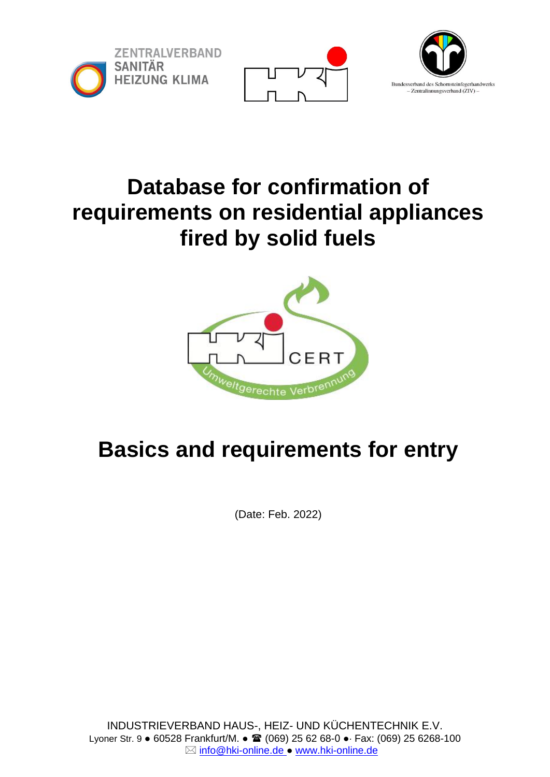





## **Database for confirmation of requirements on residential appliances fired by solid fuels**



# **Basics and requirements for entry**

(Date: Feb. 2022)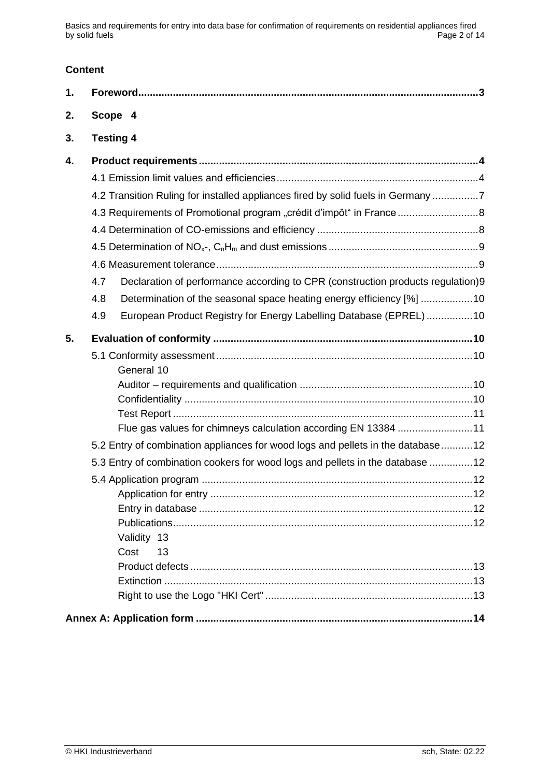Basics and requirements for entry into data base for confirmation of requirements on residential appliances fired by solid fuels

## **Content**

| 1. |                                                                                        |
|----|----------------------------------------------------------------------------------------|
| 2. | Scope 4                                                                                |
| 3. | <b>Testing 4</b>                                                                       |
| 4. |                                                                                        |
|    |                                                                                        |
|    | 4.2 Transition Ruling for installed appliances fired by solid fuels in Germany 7       |
|    | 4.3 Requirements of Promotional program "crédit d'impôt" in France                     |
|    |                                                                                        |
|    |                                                                                        |
|    |                                                                                        |
|    | Declaration of performance according to CPR (construction products regulation)9<br>4.7 |
|    | Determination of the seasonal space heating energy efficiency [%] 10<br>4.8            |
|    | European Product Registry for Energy Labelling Database (EPREL)10<br>4.9               |
|    |                                                                                        |
| 5. |                                                                                        |
|    |                                                                                        |
|    | General 10                                                                             |
|    |                                                                                        |
|    |                                                                                        |
|    | Flue gas values for chimneys calculation according EN 13384 11                         |
|    | 5.2 Entry of combination appliances for wood logs and pellets in the database12        |
|    | 5.3 Entry of combination cookers for wood logs and pellets in the database 12          |
|    |                                                                                        |
|    |                                                                                        |
|    |                                                                                        |
|    |                                                                                        |
|    | Validity 13                                                                            |
|    | Cost<br>13                                                                             |
|    |                                                                                        |
|    |                                                                                        |
|    |                                                                                        |
|    |                                                                                        |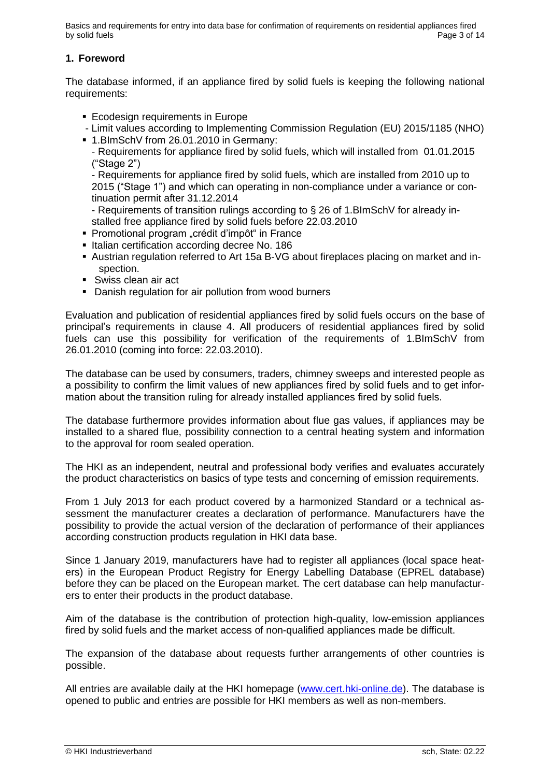Basics and requirements for entry into data base for confirmation of requirements on residential appliances fired by solid fuels **Page 3 of 14** Page 3 of 14

## **1. Foreword**

The database informed, if an appliance fired by solid fuels is keeping the following national requirements:

- **Ecodesign requirements in Europe**
- Limit values according to Implementing Commission Regulation (EU) 2015/1185 (NHO)
- 1.BImSchV from 26.01.2010 in Germany:
	- Requirements for appliance fired by solid fuels, which will installed from 01.01.2015 ("Stage 2")

- Requirements for appliance fired by solid fuels, which are installed from 2010 up to 2015 ("Stage 1") and [which](http://dict.leo.org/ende?lp=ende&p=ziiQA&search=to&trestr=0x802) can [operating](http://dict.leo.org/ende?lp=ende&p=ziiQA&search=operate&trestr=0x802) [in](http://dict.leo.org/ende?lp=ende&p=ziiQA&search=in&trestr=0x802) [non-compliance](http://dict.leo.org/ende?lp=ende&p=ziiQA&search=non-compliance&trestr=0x802) [under](http://dict.leo.org/ende?lp=ende&p=ziiQA&search=under&trestr=0x802) [a](http://dict.leo.org/ende?lp=ende&p=ziiQA&search=a&trestr=0x802) [variance](http://dict.leo.org/ende?lp=ende&p=ziiQA&search=variance&trestr=0x802) [or](http://dict.leo.org/ende?lp=ende&p=ziiQA&search=or&trestr=0x802) [con](http://dict.leo.org/ende?lp=ende&p=ziiQA&search=continuation&trestr=0x802)[tinuation](http://dict.leo.org/ende?lp=ende&p=ziiQA&search=continuation&trestr=0x802) [permit](http://dict.leo.org/ende?lp=ende&p=ziiQA&search=permit&trestr=0x802) after 31.12.2014

- Requirements of transition rulings according to § 26 of 1.BImSchV for already installed free appliance fired by solid fuels before 22.03.2010

- Promotional program "crédit d'impôt" in France
- **EXECTE:** Italian certification according decree No. 186
- Austrian regulation referred to Art 15a B-VG about fireplaces placing on market and inspection.
- Swiss clean air act
- Danish regulation for air pollution from wood burners

Evaluation and publication of residential appliances fired by solid fuels occurs on the base of principal's requirements in clause 4. All producers of residential appliances fired by solid fuels can use this possibility for verification of the requirements of 1.BImSchV from 26.01.2010 (coming into force: 22.03.2010).

The database can be used by consumers, traders, chimney sweeps and interested people as a possibility to confirm the limit values of new appliances fired by solid fuels and to get information about the transition ruling for already installed appliances fired by solid fuels.

The database furthermore provides information about flue gas values, if appliances may be installed to a shared flue, possibility connection to a central heating system and information to the approval for room sealed operation.

The HKI as an independent, neutral and professional body verifies and evaluates accurately the product characteristics on basics of type tests and concerning of emission requirements.

From 1 July 2013 for each product covered by a harmonized Standard or a technical assessment the manufacturer creates a declaration of performance. Manufacturers have the possibility to provide the actual version of the declaration of performance of their appliances according construction products regulation in HKI data base.

Since 1 January 2019, manufacturers have had to register all appliances (local space heaters) in the European Product Registry for Energy Labelling Database (EPREL database) before they can be placed on the European market. The cert database can help manufacturers to enter their products in the product database.

Aim of the database is the contribution of protection high-quality, low-emission appliances fired by solid fuels and the market access of non-qualified appliances made be difficult.

The expansion of the database about requests further arrangements of other countries is possible.

All entries are available daily at the HKI homepage [\(www.cert.hki-online.de\)](http://www.cert.hki-online.de/). The database is opened to public and entries are possible for HKI members as well as non-members.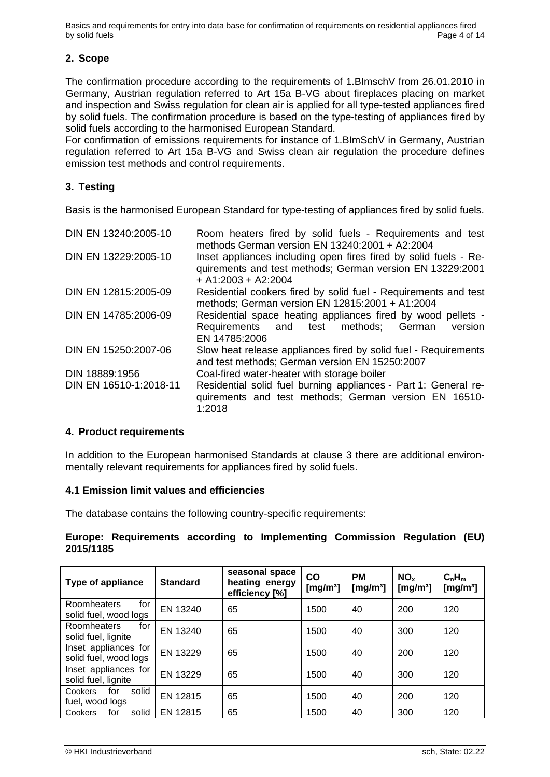Basics and requirements for entry into data base for confirmation of requirements on residential appliances fired<br>Bage 4 of 14 by solid fuels

## **2. Scope**

The confirmation procedure according to the requirements of 1.BImschV from 26.01.2010 in Germany, Austrian regulation referred to Art 15a B-VG about fireplaces placing on market and inspection and Swiss regulation for clean air is applied for all type-tested appliances fired by solid fuels. The confirmation procedure is based on the type-testing of appliances fired by solid fuels according to the harmonised European Standard.

For confirmation of emissions requirements for instance of 1.BImSchV in Germany, Austrian regulation referred to Art 15a B-VG and Swiss clean air regulation the procedure defines emission test methods and control requirements.

## **3. Testing**

Basis is the harmonised European Standard for type-testing of appliances fired by solid fuels.

| DIN EN 13240:2005-10   | Room heaters fired by solid fuels - Requirements and test<br>methods German version EN $13240:2001 + A2:2004$                                          |  |  |  |  |
|------------------------|--------------------------------------------------------------------------------------------------------------------------------------------------------|--|--|--|--|
| DIN EN 13229:2005-10   | Inset appliances including open fires fired by solid fuels - Re-<br>quirements and test methods; German version EN 13229:2001<br>$+$ A1:2003 + A2:2004 |  |  |  |  |
| DIN EN 12815:2005-09   | Residential cookers fired by solid fuel - Requirements and test<br>methods; German version EN 12815:2001 + A1:2004                                     |  |  |  |  |
| DIN EN 14785:2006-09   | Residential space heating appliances fired by wood pellets -<br>Requirements and test methods; German<br>version<br>EN 14785:2006                      |  |  |  |  |
| DIN EN 15250:2007-06   | Slow heat release appliances fired by solid fuel - Requirements<br>and test methods; German version EN 15250:2007                                      |  |  |  |  |
| DIN 18889:1956         | Coal-fired water-heater with storage boiler                                                                                                            |  |  |  |  |
| DIN EN 16510-1:2018-11 | Residential solid fuel burning appliances - Part 1: General re-<br>quirements and test methods; German version EN 16510-<br>1:2018                     |  |  |  |  |

## **4. Product requirements**

In addition to the European harmonised Standards at clause 3 there are additional environmentally relevant requirements for appliances fired by solid fuels.

## **4.1 Emission limit values and efficiencies**

The database contains the following country-specific requirements:

## **Europe: Requirements according to Implementing Commission Regulation (EU) 2015/1185**

| Type of appliance                             | <b>Standard</b> | seasonal space<br>heating energy<br>efficiency [%] | CO<br>[ $mg/m3$ ] | <b>PM</b><br>[ $mg/m3$ ] | NO <sub>x</sub><br>[mg/m <sup>3</sup> ] | $C_nH_m$<br>[mg/mª] |
|-----------------------------------------------|-----------------|----------------------------------------------------|-------------------|--------------------------|-----------------------------------------|---------------------|
| Roomheaters<br>for<br>solid fuel, wood logs   | EN 13240        | 65                                                 | 1500              | 40                       | 200                                     | 120                 |
| Roomheaters<br>for<br>solid fuel, lignite     | EN 13240        | 65                                                 | 1500              | 40                       | 300                                     | 120                 |
| Inset appliances for<br>solid fuel, wood logs | EN 13229        | 65                                                 | 1500              | 40                       | 200                                     | 120                 |
| Inset appliances for<br>solid fuel, lignite   | EN 13229        | 65                                                 | 1500              | 40                       | 300                                     | 120                 |
| solid<br>for<br>Cookers<br>fuel, wood logs    | EN 12815        | 65                                                 | 1500              | 40                       | 200                                     | 120                 |
| solid<br>for<br>Cookers                       | EN 12815        | 65                                                 | 1500              | 40                       | 300                                     | 120                 |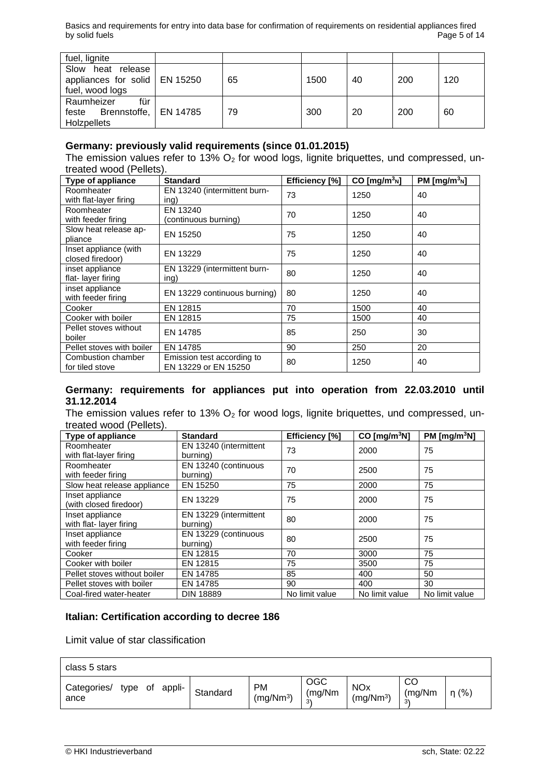| fuel, lignite                   |    |      |    |     |     |
|---------------------------------|----|------|----|-----|-----|
| Slow<br>heat release            |    |      |    |     |     |
| appliances for solid   EN 15250 | 65 | 1500 | 40 | 200 | 120 |
| fuel, wood logs                 |    |      |    |     |     |
| für<br>Raumheizer               |    |      |    |     |     |
| feste Brennstoffe,   EN 14785   | 79 | 300  | 20 | 200 | 60  |
| Holzpellets                     |    |      |    |     |     |

#### **Germany: previously valid requirements (since 01.01.2015)**

The emission values refer to 13%  $O<sub>2</sub>$  for wood logs, lignite briquettes, und compressed, untreated wood (Pellets).

| <b>Type of appliance</b>                  | <b>Standard</b>                                    | Efficiency [%] | $CO$ [mg/m $^{3}$ <sub>N</sub> ] | PM [mg/m <sup>3</sup> n] |
|-------------------------------------------|----------------------------------------------------|----------------|----------------------------------|--------------------------|
| Roomheater<br>with flat-layer firing      | EN 13240 (intermittent burn-<br>ing)               | 73             | 1250                             | 40                       |
| Roomheater<br>with feeder firing          | EN 13240<br>(continuous burning)                   | 70             | 1250                             | 40                       |
| Slow heat release ap-<br>pliance          | EN 15250                                           | 75             | 1250                             | 40                       |
| Inset appliance (with<br>closed firedoor) | EN 13229                                           | 75             | 1250                             | 40                       |
| inset appliance<br>flat-layer firing      | EN 13229 (intermittent burn-<br>ing)               | 80             | 1250                             | 40                       |
| inset appliance<br>with feeder firing     | EN 13229 continuous burning)                       | 80             | 1250                             | 40                       |
| Cooker                                    | EN 12815                                           | 70             | 1500                             | 40                       |
| Cooker with boiler                        | EN 12815                                           | 75             | 1500                             | 40                       |
| Pellet stoves without<br>boiler           | EN 14785                                           | 85             | 250                              | 30                       |
| Pellet stoves with boiler                 | EN 14785                                           | 90             | 250                              | 20                       |
| Combustion chamber<br>for tiled stove     | Emission test according to<br>EN 13229 or EN 15250 | 80             | 1250                             | 40                       |

#### **Germany: requirements for appliances put into operation from 22.03.2010 until 31.12.2014**

The emission values refer to 13%  $O<sub>2</sub>$  for wood logs, lignite briquettes, und compressed, untreated wood (Pellets).

| <b>Type of appliance</b>     | <b>Standard</b>        | Efficiency [%] | CO [mg/m <sup>3</sup> N] | PM $[mq/m^3N]$ |
|------------------------------|------------------------|----------------|--------------------------|----------------|
| Roomheater                   | EN 13240 (intermittent | 73             | 2000                     | 75             |
| with flat-layer firing       | burning)               |                |                          |                |
| Roomheater                   | EN 13240 (continuous   | 70             | 2500                     | 75             |
| with feeder firing           | burning)               |                |                          |                |
| Slow heat release appliance  | EN 15250               | 75             | 2000                     | 75             |
| Inset appliance              | EN 13229               | 75             | 2000                     | 75             |
| (with closed firedoor)       |                        |                |                          |                |
| Inset appliance              | EN 13229 (intermittent | 80             | 2000                     | 75             |
| with flat-layer firing       | burning)               |                |                          |                |
| Inset appliance              | EN 13229 (continuous   | 80             | 2500                     | 75             |
| with feeder firing           | burning)               |                |                          |                |
| Cooker                       | EN 12815               | 70             | 3000                     | 75             |
| Cooker with boiler           | EN 12815               | 75             | 3500                     | 75             |
| Pellet stoves without boiler | EN 14785               | 85             | 400                      | 50             |
| Pellet stoves with boiler    | EN 14785               | 90             | 400                      | 30             |
| Coal-fired water-heater      | <b>DIN 18889</b>       | No limit value | No limit value           | No limit value |

## **Italian: Certification according to decree 186**

Limit value of star classification

| class 5 stars                         |          |                                    |                                            |                                                |                     |            |
|---------------------------------------|----------|------------------------------------|--------------------------------------------|------------------------------------------------|---------------------|------------|
| Categories/<br>type of appli-<br>ance | Standard | <b>PM</b><br>(mg/Nm <sup>3</sup> ) | <b>OGC</b><br>(mg/Nm<br>$\mathbf{a}$<br>J. | <b>NO<sub>x</sub></b><br>(mg/Nm <sup>3</sup> ) | CO<br>(mg/Nm)<br>3) | $\eta$ (%) |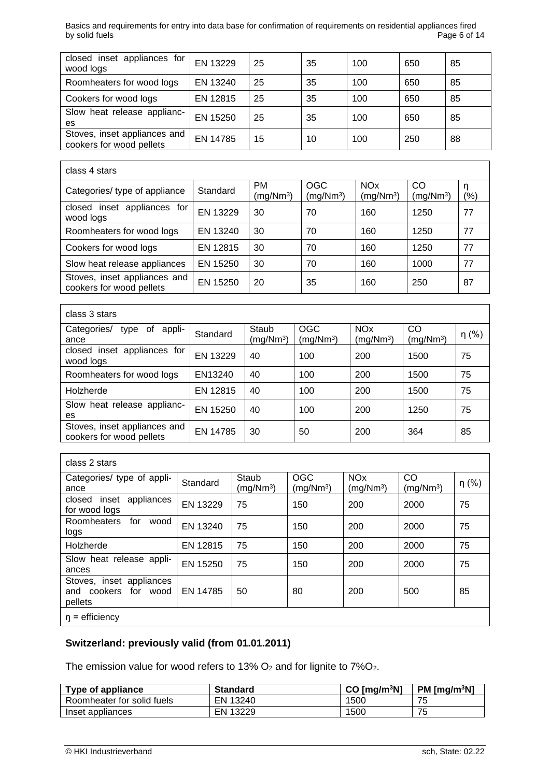Basics and requirements for entry into data base for confirmation of requirements on residential appliances fired by solid fuels

| closed inset appliances for<br>wood logs                 | EN 13229 | 25 | 35 | 100 | 650 | 85 |
|----------------------------------------------------------|----------|----|----|-----|-----|----|
| Roomheaters for wood logs                                | EN 13240 | 25 | 35 | 100 | 650 | 85 |
| Cookers for wood logs                                    | EN 12815 | 25 | 35 | 100 | 650 | 85 |
| Slow heat release applianc-<br>es                        | EN 15250 | 25 | 35 | 100 | 650 | 85 |
| Stoves, inset appliances and<br>cookers for wood pellets | EN 14785 | 15 | 10 | 100 | 250 | 88 |

| class 4 stars                                            |          |                                    |                                     |                                                |                             |                    |
|----------------------------------------------------------|----------|------------------------------------|-------------------------------------|------------------------------------------------|-----------------------------|--------------------|
| Categories/ type of appliance                            | Standard | <b>PM</b><br>(mg/Nm <sup>3</sup> ) | <b>OGC</b><br>(mg/Nm <sup>3</sup> ) | <b>NO<sub>x</sub></b><br>(mg/Nm <sup>3</sup> ) | CO<br>(mg/Nm <sup>3</sup> ) | n<br>$\frac{1}{2}$ |
| closed inset appliances for<br>wood logs                 | EN 13229 | 30                                 | 70                                  | 160                                            | 1250                        | 77                 |
| Roomheaters for wood logs                                | EN 13240 | 30                                 | 70                                  | 160                                            | 1250                        | 77                 |
| Cookers for wood logs                                    | EN 12815 | 30                                 | 70                                  | 160                                            | 1250                        | 77                 |
| Slow heat release appliances                             | EN 15250 | 30                                 | 70                                  | 160                                            | 1000                        | 77                 |
| Stoves, inset appliances and<br>cookers for wood pellets | EN 15250 | 20                                 | 35                                  | 160                                            | 250                         | 87                 |

| class 3 stars                                            |          |                                |                                     |                                      |                             |            |
|----------------------------------------------------------|----------|--------------------------------|-------------------------------------|--------------------------------------|-----------------------------|------------|
| Categories/<br>appli-<br>type of<br>ance                 | Standard | Staub<br>(mq/Nm <sup>3</sup> ) | <b>OGC</b><br>(mg/Nm <sup>3</sup> ) | <b>NO<sub>x</sub></b><br>$(mg/Nm^3)$ | CO<br>(mg/Nm <sup>3</sup> ) | $\eta$ (%) |
| closed inset appliances for<br>wood logs                 | EN 13229 | 40                             | 100                                 | 200                                  | 1500                        | 75         |
| Roomheaters for wood logs                                | EN13240  | 40                             | 100                                 | 200                                  | 1500                        | 75         |
| Holzherde                                                | EN 12815 | 40                             | 100                                 | 200                                  | 1500                        | 75         |
| Slow heat release applianc-<br>es                        | EN 15250 | 40                             | 100                                 | 200                                  | 1250                        | 75         |
| Stoves, inset appliances and<br>cookers for wood pellets | EN 14785 | 30                             | 50                                  | 200                                  | 364                         | 85         |

| class 2 stars                                               |          |                                |                                     |                                                |                             |            |
|-------------------------------------------------------------|----------|--------------------------------|-------------------------------------|------------------------------------------------|-----------------------------|------------|
| Categories/ type of appli-<br>ance                          | Standard | Staub<br>(mq/Nm <sup>3</sup> ) | <b>OGC</b><br>(mg/Nm <sup>3</sup> ) | <b>NO<sub>x</sub></b><br>(mq/Nm <sup>3</sup> ) | CO<br>(mg/Nm <sup>3</sup> ) | $\eta$ (%) |
| appliances<br>closed inset<br>for wood logs                 | EN 13229 | 75                             | 150                                 | 200                                            | 2000                        | 75         |
| Roomheaters<br>for<br>wood<br>logs                          | EN 13240 | 75                             | 150                                 | 200                                            | 2000                        | 75         |
| Holzherde                                                   | EN 12815 | 75                             | 150                                 | 200                                            | 2000                        | 75         |
| Slow heat release appli-<br>ances                           | EN 15250 | 75                             | 150                                 | 200                                            | 2000                        | 75         |
| Stoves, inset appliances<br>and cookers for wood<br>pellets | EN 14785 | 50                             | 80                                  | 200                                            | 500                         | 85         |
| $\eta$ = efficiency                                         |          |                                |                                     |                                                |                             |            |

## **Switzerland: previously valid (from 01.01.2011)**

The emission value for wood refers to 13%  $O_2$  and for lignite to 7% $O_2$ .

| Type of appliance          | <b>Standard</b> | $CO$ [mq/m <sup>3</sup> N] | $PM$ [mq/m <sup>3</sup> N] |
|----------------------------|-----------------|----------------------------|----------------------------|
| Roomheater for solid fuels | EN 13240        | 1500                       | 75                         |
| Inset appliances           | EN 13229        | 1500                       | 75<br><b>J</b>             |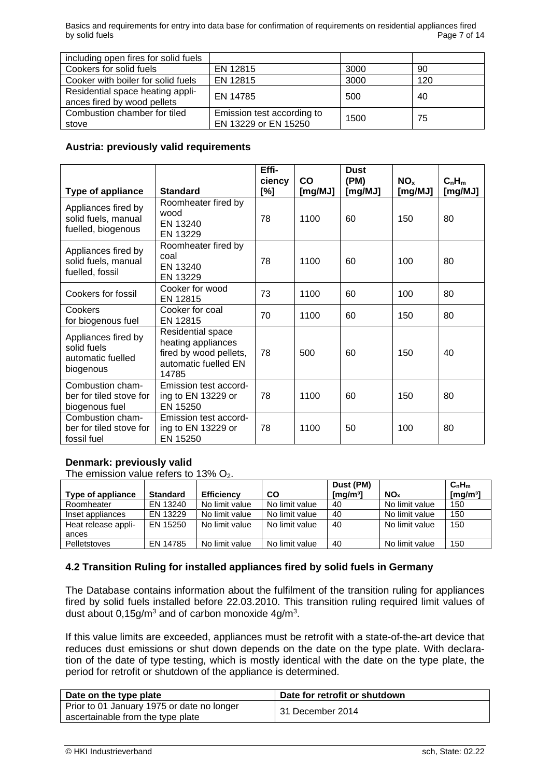Basics and requirements for entry into data base for confirmation of requirements on residential appliances fired<br>Bage 7 of 14 by solid fuels

| including open fires for solid fuels                            |                                                    |      |     |
|-----------------------------------------------------------------|----------------------------------------------------|------|-----|
| Cookers for solid fuels                                         | EN 12815                                           | 3000 | 90  |
| Cooker with boiler for solid fuels                              | EN 12815                                           | 3000 | 120 |
| Residential space heating appli-<br>ances fired by wood pellets | EN 14785                                           | 500  | 40  |
| Combustion chamber for tiled<br>stove                           | Emission test according to<br>EN 13229 or EN 15250 | 1500 | 75  |

#### **Austria: previously valid requirements**

|                                                                      |                                                                                                    | Effi-<br>ciency | $\mathsf{co}$ | <b>Dust</b><br>(PM) | NO <sub>x</sub> | $C_nH_m$ |
|----------------------------------------------------------------------|----------------------------------------------------------------------------------------------------|-----------------|---------------|---------------------|-----------------|----------|
| <b>Type of appliance</b>                                             | <b>Standard</b>                                                                                    | [%]             | [mg/MJ]       | [mg/MJ]             | [mg/MJ]         | [mg/MJ]  |
| Appliances fired by<br>solid fuels, manual<br>fuelled, biogenous     | Roomheater fired by<br>wood<br>EN 13240<br>EN 13229                                                | 78              | 1100          | 60                  | 150             | 80       |
| Appliances fired by<br>solid fuels, manual<br>fuelled, fossil        | Roomheater fired by<br>coal<br>EN 13240<br>EN 13229                                                | 78              | 1100          | 60                  | 100             | 80       |
| Cookers for fossil                                                   | Cooker for wood<br>EN 12815                                                                        | 73              | 1100          | 60                  | 100             | 80       |
| Cookers<br>for biogenous fuel                                        | Cooker for coal<br>EN 12815                                                                        | 70              | 1100          | 60                  | 150             | 80       |
| Appliances fired by<br>solid fuels<br>automatic fuelled<br>biogenous | Residential space<br>heating appliances<br>fired by wood pellets,<br>automatic fuelled EN<br>14785 | 78              | 500           | 60                  | 150             | 40       |
| Combustion cham-<br>ber for tiled stove for<br>biogenous fuel        | Emission test accord-<br>ing to EN 13229 or<br>EN 15250                                            | 78              | 1100          | 60                  | 150             | 80       |
| Combustion cham-<br>ber for tiled stove for<br>fossil fuel           | Emission test accord-<br>ing to EN 13229 or<br>EN 15250                                            | 78              | 1100          | 50                  | 100             | 80       |

## **Denmark: previously valid**

The emission value refers to  $13\%$  O<sub>2</sub>.

|                     |                 |                   |                | Dust (PM)                       |                        | C <sub>n</sub> H <sub>m</sub> |
|---------------------|-----------------|-------------------|----------------|---------------------------------|------------------------|-------------------------------|
| Type of appliance   | <b>Standard</b> | <b>Efficiency</b> | CO             | $\lceil \mathsf{mq/m^3} \rceil$ | <b>NO</b> <sub>x</sub> | [ $mg/m3$ ]                   |
| Roomheater          | EN 13240        | No limit value    | No limit value | 40                              | No limit value         | 150                           |
| Inset appliances    | EN 13229        | No limit value    | No limit value | 40                              | No limit value         | 150                           |
| Heat release appli- | EN 15250        | No limit value    | No limit value | 40                              | No limit value         | 150                           |
| ances               |                 |                   |                |                                 |                        |                               |
| <b>Pelletstoves</b> | EN 14785        | No limit value    | No limit value | 40                              | No limit value         | 150                           |

## **4.2 Transition Ruling for installed appliances fired by solid fuels in Germany**

The Database contains information about the fulfilment of the transition ruling for appliances fired by solid fuels installed before 22.03.2010. This transition ruling required limit values of dust about  $0,15$ g/m<sup>3</sup> and of carbon monoxide  $4$ g/m<sup>3</sup>.

If this value limits are exceeded, appliances must be retrofit with a state-of-the-art device that reduces dust emissions or shut down depends on the date on the type plate. With declaration of the date of type testing, which is mostly identical with the date on the type plate, the period for retrofit or shutdown of the appliance is determined.

| Date on the type plate                                                          | Date for retrofit or shutdown |
|---------------------------------------------------------------------------------|-------------------------------|
| Prior to 01 January 1975 or date no longer<br>ascertainable from the type plate | 31 December 2014              |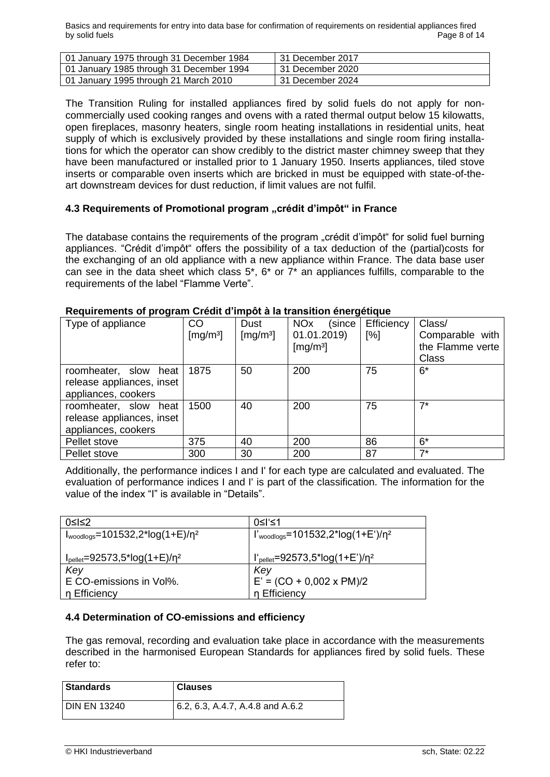Basics and requirements for entry into data base for confirmation of requirements on residential appliances fired by solid fuels **Page 8 of 14** Page 8 of 14

| 01 January 1975 through 31 December 1984 | 31 December 2017   |
|------------------------------------------|--------------------|
| 01 January 1985 through 31 December 1994 | l 31 December 2020 |
| 01 January 1995 through 21 March 2010    | 31 December 2024   |

The Transition Ruling for installed appliances fired by solid fuels do not apply for noncommercially used cooking ranges and ovens with a rated thermal output below 15 kilowatts, open fireplaces, masonry heaters, single room heating installations in residential units, heat supply of which is exclusively provided by these installations and single room firing installations for which the operator can show credibly to the district master chimney sweep that they have been manufactured or installed prior to 1 January 1950. Inserts appliances, tiled stove inserts or comparable oven inserts which are bricked in must be equipped with state-of-theart downstream devices for dust reduction, if limit values are not fulfil.

## **4.3 Requirements of Promotional program "crédit d'impôt" in France**

The database contains the requirements of the program "crédit d'impôt" for solid fuel burning appliances. "Crédit d'impôt" offers the possibility of a tax deduction of the (partial)costs for the exchanging of an old appliance with a new appliance within France. The data base user can see in the data sheet which class 5\*, 6\* or 7\* an appliances fulfills, comparable to the requirements of the label "Flamme Verte".

| Type of appliance         | CO                   | Dust                 | <b>NO<sub>x</sub></b><br>(since | .<br>Efficiency | Class/           |
|---------------------------|----------------------|----------------------|---------------------------------|-----------------|------------------|
|                           | [mg/m <sup>3</sup> ] | [mg/m <sup>3</sup> ] | 01.01.2019)                     | [%]             | Comparable with  |
|                           |                      |                      | [mg/m <sup>3</sup> ]            |                 | the Flamme verte |
|                           |                      |                      |                                 |                 | <b>Class</b>     |
| roomheater, slow<br>heat  | 1875                 | 50                   | 200                             | 75              | $6*$             |
| release appliances, inset |                      |                      |                                 |                 |                  |
| appliances, cookers       |                      |                      |                                 |                 |                  |
| roomheater, slow heat     | 1500                 | 40                   | 200                             | 75              | $7*$             |
| release appliances, inset |                      |                      |                                 |                 |                  |
| appliances, cookers       |                      |                      |                                 |                 |                  |
| Pellet stove              | 375                  | 40                   | 200                             | 86              | $6*$             |
| Pellet stove              | 300                  | 30                   | 200                             | 87              | $7*$             |

#### **Requirements of program Crédit d'impôt à la transition énergétique**

Additionally, the performance indices I and I' for each type are calculated and evaluated. The evaluation of performance indices I and I' is part of the classification. The information for the value of the index "I" is available in "Details".

| 0≤l≤2                                           | 0≤l'≤1                                             |
|-------------------------------------------------|----------------------------------------------------|
| $I_{woodlogs} = 101532, 2*log(1+E)/n^2$         | $I'_{woodlogs} = 101532, 2*log(1+E')/n^2$          |
|                                                 |                                                    |
| $I_{\text{pellet}} = 92573.5^{*} \log(1+E)/n^2$ | $\int_{\text{pellet}} = 92573,5^* \log(1+E^*)/n^2$ |
| Key                                             | Key                                                |
| E CO-emissions in Vol%.                         | $E' = (CO + 0.002 \times PM)/2$                    |
| n Efficiency                                    | n Efficiency                                       |

## **4.4 Determination of CO-emissions and efficiency**

The gas removal, recording and evaluation take place in accordance with the measurements described in the harmonised European Standards for appliances fired by solid fuels. These refer to:

| <b>Standards</b> | <b>Clauses</b>                      |
|------------------|-------------------------------------|
| I DIN EN 13240   | (6.2, 6.3, A.4.7, A.4.8, and A.6.2) |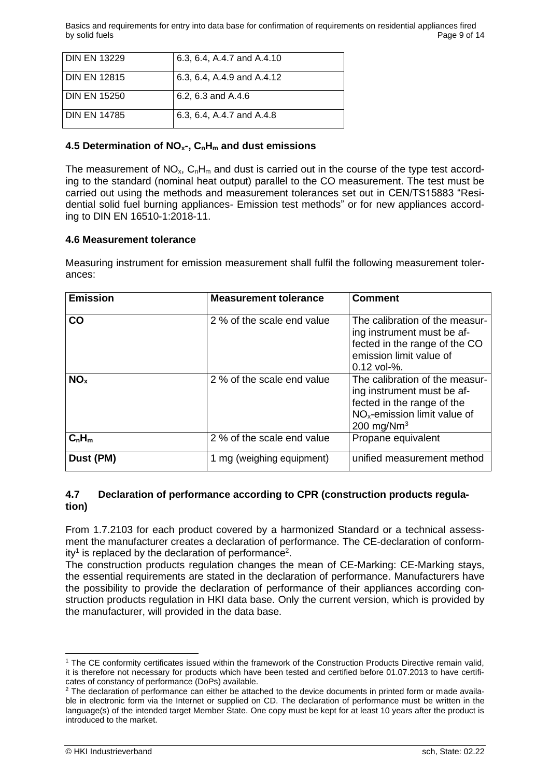Basics and requirements for entry into data base for confirmation of requirements on residential appliances fired by solid fuels **Page 9 of 14** Page 9 of 14

| <b>DIN EN 13229</b> | 6.3, 6.4, A.4.7 and A.4.10 |
|---------------------|----------------------------|
| <b>DIN EN 12815</b> | 6.3, 6.4, A.4.9 and A.4.12 |
| <b>DIN EN 15250</b> | 6.2, 6.3 and A.4.6         |
| <b>DIN EN 14785</b> | 6.3, 6.4, A.4.7 and A.4.8  |

## **4.5 Determination of NOx-, CnH<sup>m</sup> and dust emissions**

The measurement of  $NO<sub>x</sub>$ ,  $C<sub>n</sub>H<sub>m</sub>$  and dust is carried out in the course of the type test according to the standard (nominal heat output) parallel to the CO measurement. The test must be carried out using the methods and measurement tolerances set out in CEN/TS15883 "Residential solid fuel burning appliances- Emission test methods" or for new appliances according to DIN EN 16510-1:2018-11.

## **4.6 Measurement tolerance**

Measuring instrument for emission measurement shall fulfil the following measurement tolerances:

| <b>Emission</b> | <b>Measurement tolerance</b> | <b>Comment</b>                                                                                                                                 |
|-----------------|------------------------------|------------------------------------------------------------------------------------------------------------------------------------------------|
| CO              | 2 % of the scale end value   | The calibration of the measur-<br>ing instrument must be af-<br>fected in the range of the CO<br>emission limit value of<br>$0.12$ vol-%.      |
| NO <sub>x</sub> | 2 % of the scale end value   | The calibration of the measur-<br>ing instrument must be af-<br>fected in the range of the<br>$NOx$ -emission limit value of<br>200 mg/ $Nm^3$ |
| $C_nH_m$        | 2 % of the scale end value   | Propane equivalent                                                                                                                             |
| Dust (PM)       | 1 mg (weighing equipment)    | unified measurement method                                                                                                                     |

## **4.7 Declaration of performance according to CPR (construction products regulation)**

From 1.7.2103 for each product covered by a harmonized Standard or a technical assessment the manufacturer creates a declaration of performance. The CE-declaration of conformity<sup>1</sup> is replaced by the declaration of performance<sup>2</sup>.

The construction products regulation changes the mean of CE-Marking: CE-Marking stays, the essential requirements are stated in the declaration of performance. Manufacturers have the possibility to provide the declaration of performance of their appliances according construction products regulation in HKI data base. Only the current version, which is provided by the manufacturer, will provided in the data base.

<sup>1</sup> The CE conformity certificates issued within the framework of the Construction Products Directive remain valid, it is therefore not necessary for products which have been tested and certified before 01.07.2013 to have certificates of constancy of performance (DoPs) available.

<sup>&</sup>lt;sup>2</sup> The declaration of performance can either be attached to the device documents in printed form or made available in electronic form via the Internet or supplied on CD. The declaration of performance must be written in the language(s) of the intended target Member State. One copy must be kept for at least 10 years after the product is introduced to the market.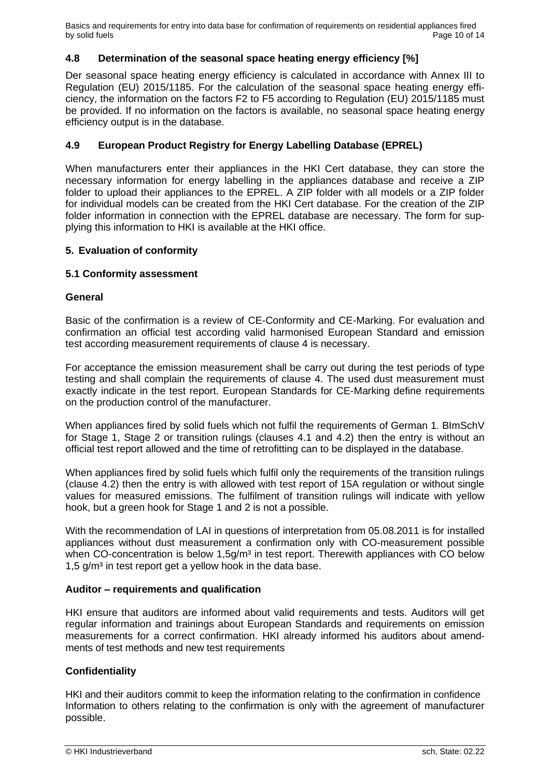Basics and requirements for entry into data base for confirmation of requirements on residential appliances fired by solid fuels **Page 10 of 14** Page 10 of 14

## **4.8 Determination of the seasonal space heating energy efficiency [%]**

Der seasonal space heating energy efficiency is calculated in accordance with Annex III to Regulation (EU) 2015/1185. For the calculation of the seasonal space heating energy efficiency, the information on the factors F2 to F5 according to Regulation (EU) 2015/1185 must be provided. If no information on the factors is available, no seasonal space heating energy efficiency output is in the database.

## **4.9 European Product Registry for Energy Labelling Database (EPREL)**

When manufacturers enter their appliances in the HKI Cert database, they can store the necessary information for energy labelling in the appliances database and receive a ZIP folder to upload their appliances to the EPREL. A ZIP folder with all models or a ZIP folder for individual models can be created from the HKI Cert database. For the creation of the ZIP folder information in connection with the EPREL database are necessary. The form for supplying this information to HKI is available at the HKI office.

## **5. Evaluation of conformity**

## **5.1 Conformity assessment**

## **General**

Basic of the confirmation is a review of CE-Conformity and CE-Marking. For evaluation and confirmation an official test according valid harmonised European Standard and emission test according measurement requirements of clause 4 is necessary.

For acceptance the emission measurement shall be carry out during the test periods of type testing and shall complain the requirements of clause 4. The used dust measurement must exactly indicate in the test report. European Standards for CE-Marking define requirements on the production control of the manufacturer.

When appliances fired by solid fuels which not fulfil the requirements of German 1. BImSchV for Stage 1, Stage 2 or transition rulings (clauses 4.1 and 4.2) then the entry is without an official test report allowed and the time of retrofitting can to be displayed in the database.

When appliances fired by solid fuels which fulfil only the requirements of the transition rulings (clause 4.2) then the entry is with allowed with test report of 15A regulation or without single values for measured emissions. The fulfilment of transition rulings will indicate with yellow hook, but a green hook for Stage 1 and 2 is not a possible.

With the recommendation of LAI in questions of interpretation from 05.08.2011 is for installed appliances without dust measurement a confirmation only with CO-measurement possible when CO-concentration is below  $1.5g/m<sup>3</sup>$  in test report. Therewith appliances with CO below 1,5  $g/m<sup>3</sup>$  in test report get a yellow hook in the data base.

## **Auditor – requirements and qualification**

HKI ensure that auditors are informed about valid requirements and tests. Auditors will get regular information and trainings about European Standards and requirements on emission measurements for a correct confirmation. HKI already informed his auditors about amendments of test methods and new test requirements

## **Confidentiality**

HKI and their auditors commit to keep the information relating to the confirmation in confidence Information to others relating to the confirmation is only with the agreement of manufacturer possible.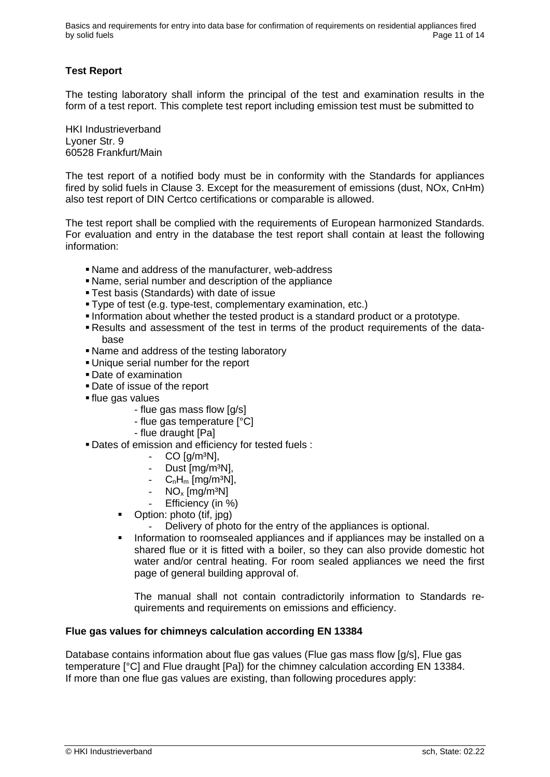Basics and requirements for entry into data base for confirmation of requirements on residential appliances fired by solid fuels **Page 11 of 14** Page 11 of 14

## **Test Report**

The testing laboratory shall inform the principal of the test and examination results in the form of a test report. This complete test report including emission test must be submitted to

HKI Industrieverband Lyoner Str. 9 60528 Frankfurt/Main

The test report of a notified body must be in conformity with the Standards for appliances fired by solid fuels in Clause 3. Except for the measurement of emissions (dust, NOx, CnHm) also test report of DIN Certco certifications or comparable is allowed.

The test report shall be complied with the requirements of European harmonized Standards. For evaluation and entry in the database the test report shall contain at least the following information:

- Name and address of the manufacturer, web-address
- Name, serial number and description of the appliance
- **Test basis (Standards) with date of issue**
- Type of test (e.g. type-test, complementary examination, etc.)
- Information about whether the tested product is a standard product or a prototype.
- Results and assessment of the test in terms of the product requirements of the database
- Name and address of the testing laboratory
- **.** Unique serial number for the report
- Date of examination
- Date of issue of the report
- **If flue gas values** 
	- flue gas mass flow [g/s]
	- flue gas temperature [°C]
	- flue draught [Pa]
- **Dates of emission and efficiency for tested fuels :** 
	- $-CO$  [g/m<sup>3</sup>N],
	- Dust [mg/m<sup>3</sup>N],
	- $C_nH_m$  [mg/m<sup>3</sup>N],
	- $NO<sub>x</sub>$  [mg/m<sup>3</sup>N]
	- Efficiency (in %)
	- Option: photo (tif, jpg)
		- Delivery of photo for the entry of the appliances is optional.
	- **•** Information to roomsealed appliances and if appliances may be installed on a shared flue or it is fitted with a boiler, so they can also provide domestic hot water and/or central heating. For room sealed appliances we need the first page of general building approval of.

The manual shall not contain contradictorily information to Standards requirements and requirements on emissions and efficiency.

#### **Flue gas values for chimneys calculation according EN 13384**

Database contains information about flue gas values (Flue gas mass flow [g/s], Flue gas temperature [°C] and Flue draught [Pa]) for the chimney calculation according EN 13384. If more than one flue gas values are existing, than following procedures apply: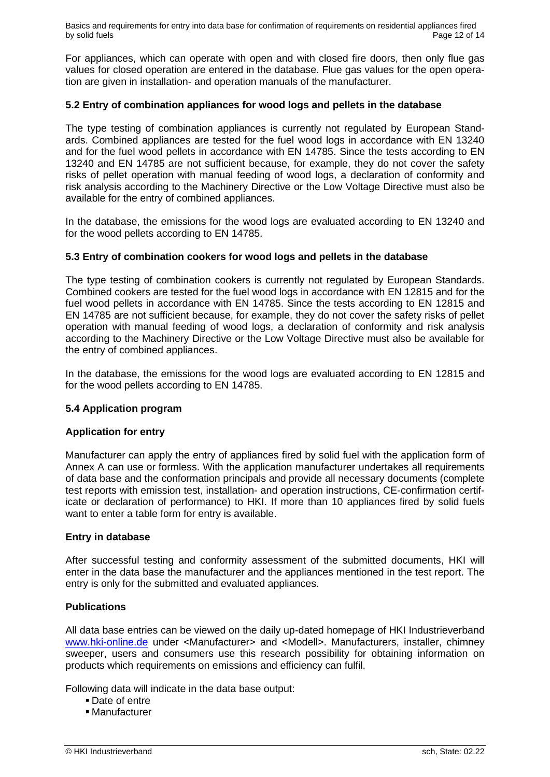Basics and requirements for entry into data base for confirmation of requirements on residential appliances fired by solid fuels **Page 12 of 14** Page 12 of 14

For appliances, which can operate with open and with closed fire doors, then only flue gas values for closed operation are entered in the database. Flue gas values for the open operation are given in installation- and operation manuals of the manufacturer.

## **5.2 Entry of combination appliances for wood logs and pellets in the database**

The type testing of combination appliances is currently not regulated by European Standards. Combined appliances are tested for the fuel wood logs in accordance with EN 13240 and for the fuel wood pellets in accordance with EN 14785. Since the tests according to EN 13240 and EN 14785 are not sufficient because, for example, they do not cover the safety risks of pellet operation with manual feeding of wood logs, a declaration of conformity and risk analysis according to the Machinery Directive or the Low Voltage Directive must also be available for the entry of combined appliances.

In the database, the emissions for the wood logs are evaluated according to EN 13240 and for the wood pellets according to EN 14785.

## **5.3 Entry of combination cookers for wood logs and pellets in the database**

The type testing of combination cookers is currently not regulated by European Standards. Combined cookers are tested for the fuel wood logs in accordance with EN 12815 and for the fuel wood pellets in accordance with EN 14785. Since the tests according to EN 12815 and EN 14785 are not sufficient because, for example, they do not cover the safety risks of pellet operation with manual feeding of wood logs, a declaration of conformity and risk analysis according to the Machinery Directive or the Low Voltage Directive must also be available for the entry of combined appliances.

In the database, the emissions for the wood logs are evaluated according to EN 12815 and for the wood pellets according to EN 14785.

## **5.4 Application program**

#### **Application for entry**

Manufacturer can apply the entry of appliances fired by solid fuel with the application form of Annex A can use or formless. With the application manufacturer undertakes all requirements of data base and the conformation principals and provide all necessary documents (complete test reports with emission test, installation- and operation instructions, CE-confirmation certificate or declaration of performance) to HKI. If more than 10 appliances fired by solid fuels want to enter a table form for entry is available.

#### **Entry in database**

After successful testing and conformity assessment of the submitted documents, HKI will enter in the data base the manufacturer and the appliances mentioned in the test report. The entry is only for the submitted and evaluated appliances.

## **Publications**

All data base entries can be viewed on the daily up-dated homepage of HKI Industrieverband www.hki-online.de under <Manufacturer> and <Modell>. Manufacturers, installer, chimney sweeper, users and consumers use this research possibility for obtaining information on products which requirements on emissions and efficiency can fulfil.

Following data will indicate in the data base output:

- Date of entre
- Manufacturer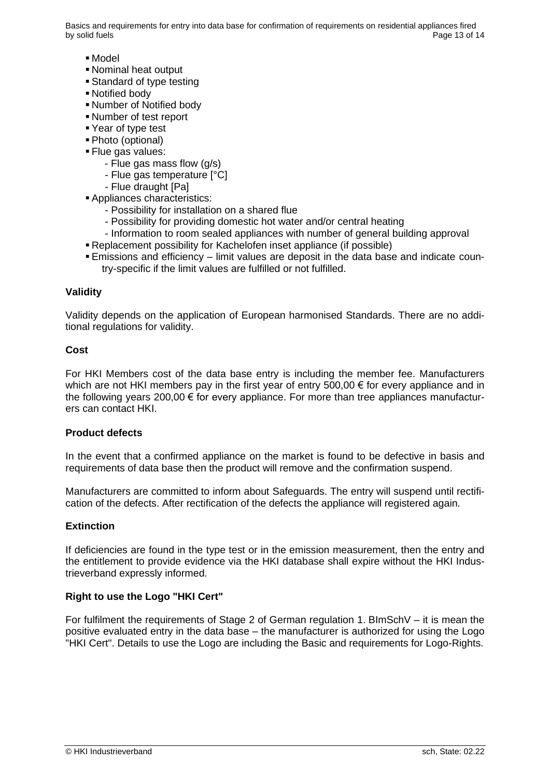Basics and requirements for entry into data base for confirmation of requirements on residential appliances fired by solid fuels **Page 13 of 14** of 14 of 14 of 14 of 14 of 14 of 14 of 14 of 14 of 14 of 14 of 14 of 14 of 14 of 14 of 14 of 14 of 14 of 14 of 14 of 14 of 14 of 14 of 14 of 14 of 14 of 14 of 14 of 15 of 14 of 15 of 14 of 15

- Model
- Nominal heat output
- Standard of type testing
- Notified body
- Number of Notified body
- Number of test report
- Year of type test
- Photo (optional)
- **Elue gas values:** 
	- Flue gas mass flow (g/s)
	- Flue gas temperature [°C]
	- Flue draught [Pa]
- **Appliances characteristics:** 
	- Possibility for installation on a shared flue
	- Possibility for providing domestic hot water and/or central heating
	- Information to room sealed appliances with number of general building approval
- Replacement possibility for Kachelofen inset appliance (if possible)
- **Emissions and efficiency limit values are deposit in the data base and indicate coun**try-specific if the limit values are fulfilled or not fulfilled.

#### **Validity**

Validity depends on the application of European harmonised Standards. There are no additional regulations for validity.

#### **Cost**

For HKI Members cost of the data base entry is including the member fee. Manufacturers which are not HKI members pay in the first year of entry 500,00  $\epsilon$  for every appliance and in the following years 200,00 € for every appliance. For more than tree appliances manufacturers can contact HKI.

#### **Product defects**

In the event that a confirmed appliance on the market is found to be defective in basis and requirements of data base then the product will remove and the confirmation suspend.

Manufacturers are committed to inform about Safeguards. The entry will suspend until rectification of the defects. After rectification of the defects the appliance will registered again.

#### **Extinction**

If deficiencies are found in the type test or in the emission measurement, then the entry and the entitlement to provide evidence via the HKI database shall expire without the HKI Industrieverband expressly informed.

## **Right to use the Logo "HKI Cert"**

For fulfilment the requirements of Stage 2 of German regulation 1. BImSchV – it is mean the positive evaluated entry in the data base – the manufacturer is authorized for using the Logo "HKI Cert". Details to use the Logo are including the Basic and requirements for Logo-Rights.